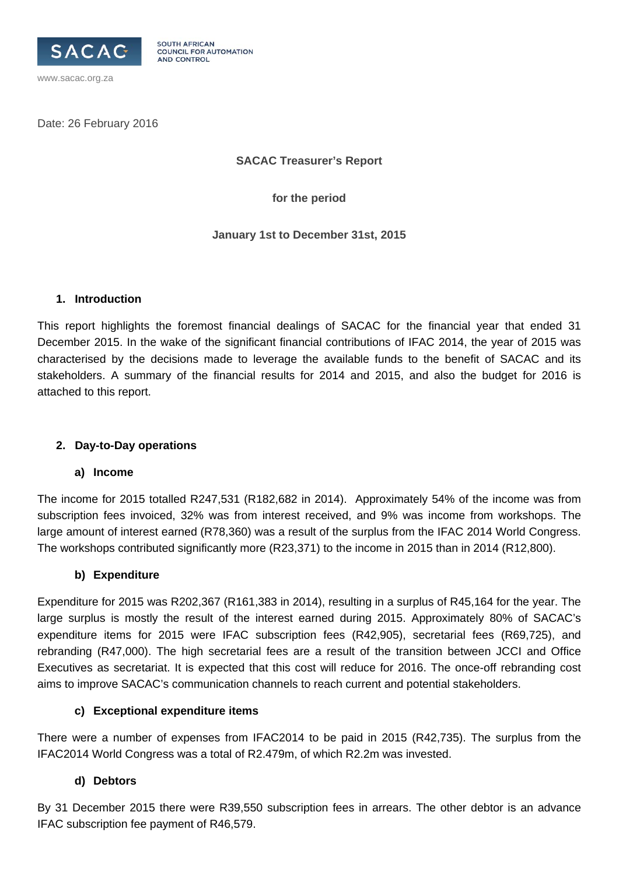

Date: 26 February 2016

www.sacac.org.za

**SACAC Treasurer's Report** 

**for the period** 

**January 1st to December 31st, 2015** 

#### **1. Introduction**

This report highlights the foremost financial dealings of SACAC for the financial year that ended 31 December 2015. In the wake of the significant financial contributions of IFAC 2014, the year of 2015 was characterised by the decisions made to leverage the available funds to the benefit of SACAC and its stakeholders. A summary of the financial results for 2014 and 2015, and also the budget for 2016 is attached to this report.

## **2. Day-to-Day operations**

## **a) Income**

The income for 2015 totalled R247,531 (R182,682 in 2014). Approximately 54% of the income was from subscription fees invoiced, 32% was from interest received, and 9% was income from workshops. The large amount of interest earned (R78,360) was a result of the surplus from the IFAC 2014 World Congress. The workshops contributed significantly more (R23,371) to the income in 2015 than in 2014 (R12,800).

## **b) Expenditure**

Expenditure for 2015 was R202,367 (R161,383 in 2014), resulting in a surplus of R45,164 for the year. The large surplus is mostly the result of the interest earned during 2015. Approximately 80% of SACAC's expenditure items for 2015 were IFAC subscription fees (R42,905), secretarial fees (R69,725), and rebranding (R47,000). The high secretarial fees are a result of the transition between JCCI and Office Executives as secretariat. It is expected that this cost will reduce for 2016. The once-off rebranding cost aims to improve SACAC's communication channels to reach current and potential stakeholders.

## **c) Exceptional expenditure items**

There were a number of expenses from IFAC2014 to be paid in 2015 (R42,735). The surplus from the IFAC2014 World Congress was a total of R2.479m, of which R2.2m was invested.

## **d) Debtors**

By 31 December 2015 there were R39,550 subscription fees in arrears. The other debtor is an advance IFAC subscription fee payment of R46,579.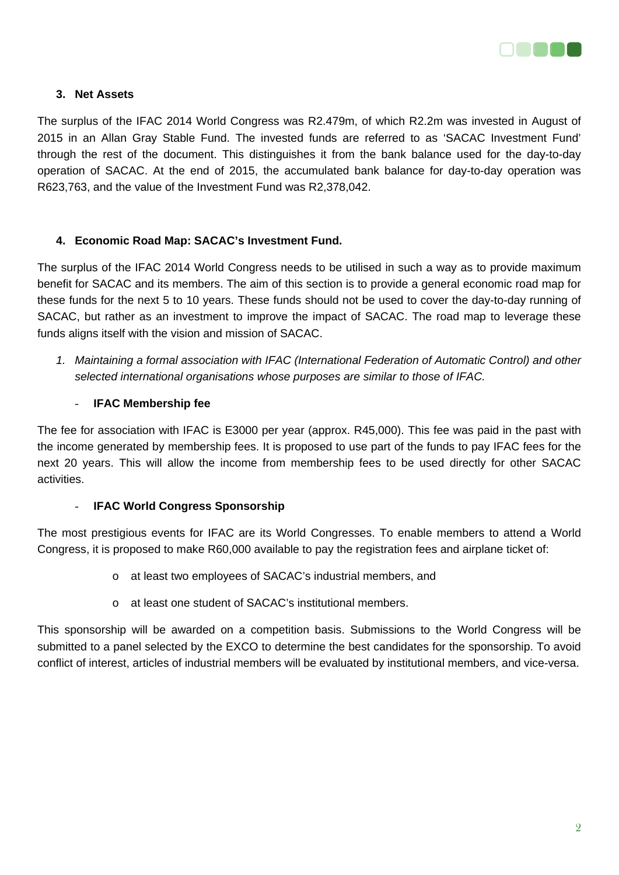

## **3. Net Assets**

The surplus of the IFAC 2014 World Congress was R2.479m, of which R2.2m was invested in August of 2015 in an Allan Gray Stable Fund. The invested funds are referred to as 'SACAC Investment Fund' through the rest of the document. This distinguishes it from the bank balance used for the day-to-day operation of SACAC. At the end of 2015, the accumulated bank balance for day-to-day operation was R623,763, and the value of the Investment Fund was R2,378,042.

## **4. Economic Road Map: SACAC's Investment Fund.**

The surplus of the IFAC 2014 World Congress needs to be utilised in such a way as to provide maximum benefit for SACAC and its members. The aim of this section is to provide a general economic road map for these funds for the next 5 to 10 years. These funds should not be used to cover the day-to-day running of SACAC, but rather as an investment to improve the impact of SACAC. The road map to leverage these funds aligns itself with the vision and mission of SACAC.

*1. Maintaining a formal association with IFAC (International Federation of Automatic Control) and other selected international organisations whose purposes are similar to those of IFAC.* 

### - **IFAC Membership fee**

The fee for association with IFAC is E3000 per year (approx. R45,000). This fee was paid in the past with the income generated by membership fees. It is proposed to use part of the funds to pay IFAC fees for the next 20 years. This will allow the income from membership fees to be used directly for other SACAC activities.

#### - **IFAC World Congress Sponsorship**

The most prestigious events for IFAC are its World Congresses. To enable members to attend a World Congress, it is proposed to make R60,000 available to pay the registration fees and airplane ticket of:

- o at least two employees of SACAC's industrial members, and
- o at least one student of SACAC's institutional members.

This sponsorship will be awarded on a competition basis. Submissions to the World Congress will be submitted to a panel selected by the EXCO to determine the best candidates for the sponsorship. To avoid conflict of interest, articles of industrial members will be evaluated by institutional members, and vice-versa.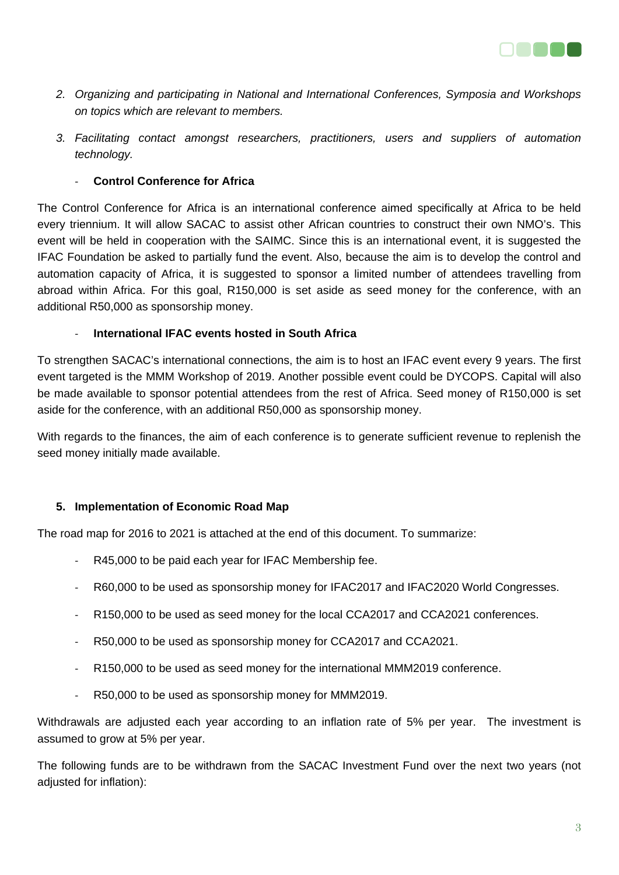

- *2. Organizing and participating in National and International Conferences, Symposia and Workshops on topics which are relevant to members.*
- *3. Facilitating contact amongst researchers, practitioners, users and suppliers of automation technology.*

### ‐ **Control Conference for Africa**

The Control Conference for Africa is an international conference aimed specifically at Africa to be held every triennium. It will allow SACAC to assist other African countries to construct their own NMO's. This event will be held in cooperation with the SAIMC. Since this is an international event, it is suggested the IFAC Foundation be asked to partially fund the event. Also, because the aim is to develop the control and automation capacity of Africa, it is suggested to sponsor a limited number of attendees travelling from abroad within Africa. For this goal, R150,000 is set aside as seed money for the conference, with an additional R50,000 as sponsorship money.

#### ‐ **International IFAC events hosted in South Africa**

To strengthen SACAC's international connections, the aim is to host an IFAC event every 9 years. The first event targeted is the MMM Workshop of 2019. Another possible event could be DYCOPS. Capital will also be made available to sponsor potential attendees from the rest of Africa. Seed money of R150,000 is set aside for the conference, with an additional R50,000 as sponsorship money.

With regards to the finances, the aim of each conference is to generate sufficient revenue to replenish the seed money initially made available.

#### **5. Implementation of Economic Road Map**

The road map for 2016 to 2021 is attached at the end of this document. To summarize:

- R45,000 to be paid each year for IFAC Membership fee.
- ‐ R60,000 to be used as sponsorship money for IFAC2017 and IFAC2020 World Congresses.
- ‐ R150,000 to be used as seed money for the local CCA2017 and CCA2021 conferences.
- ‐ R50,000 to be used as sponsorship money for CCA2017 and CCA2021.
- ‐ R150,000 to be used as seed money for the international MMM2019 conference.
- ‐ R50,000 to be used as sponsorship money for MMM2019.

Withdrawals are adjusted each year according to an inflation rate of 5% per year. The investment is assumed to grow at 5% per year.

The following funds are to be withdrawn from the SACAC Investment Fund over the next two years (not adjusted for inflation):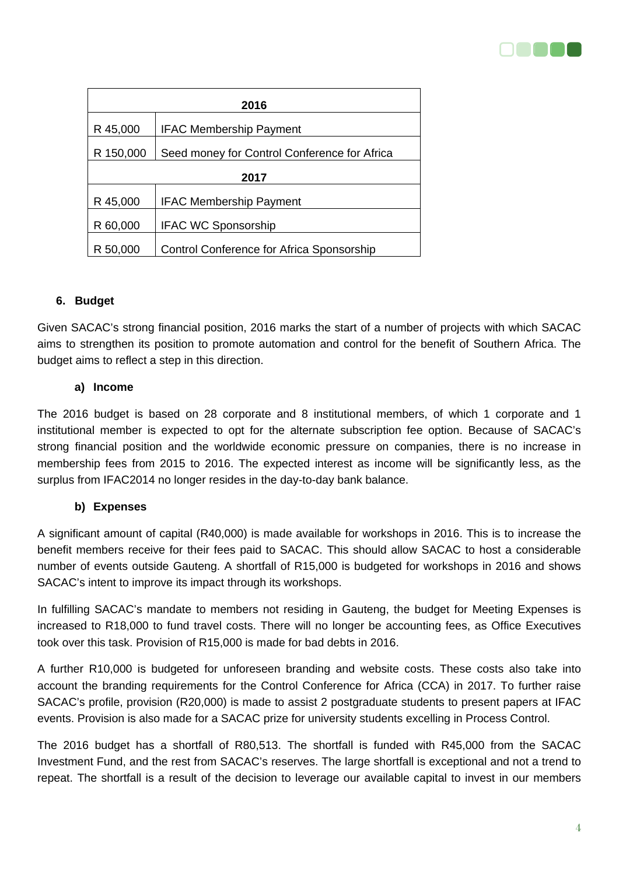

| 2016      |                                              |  |  |  |  |  |
|-----------|----------------------------------------------|--|--|--|--|--|
| R 45,000  | <b>IFAC Membership Payment</b>               |  |  |  |  |  |
| R 150,000 | Seed money for Control Conference for Africa |  |  |  |  |  |
| 2017      |                                              |  |  |  |  |  |
| R 45,000  | <b>IFAC Membership Payment</b>               |  |  |  |  |  |
| R 60,000  | <b>IFAC WC Sponsorship</b>                   |  |  |  |  |  |
| R 50,000  | Control Conference for Africa Sponsorship    |  |  |  |  |  |

## **6. Budget**

Given SACAC's strong financial position, 2016 marks the start of a number of projects with which SACAC aims to strengthen its position to promote automation and control for the benefit of Southern Africa. The budget aims to reflect a step in this direction.

#### **a) Income**

The 2016 budget is based on 28 corporate and 8 institutional members, of which 1 corporate and 1 institutional member is expected to opt for the alternate subscription fee option. Because of SACAC's strong financial position and the worldwide economic pressure on companies, there is no increase in membership fees from 2015 to 2016. The expected interest as income will be significantly less, as the surplus from IFAC2014 no longer resides in the day-to-day bank balance.

#### **b) Expenses**

A significant amount of capital (R40,000) is made available for workshops in 2016. This is to increase the benefit members receive for their fees paid to SACAC. This should allow SACAC to host a considerable number of events outside Gauteng. A shortfall of R15,000 is budgeted for workshops in 2016 and shows SACAC's intent to improve its impact through its workshops.

In fulfilling SACAC's mandate to members not residing in Gauteng, the budget for Meeting Expenses is increased to R18,000 to fund travel costs. There will no longer be accounting fees, as Office Executives took over this task. Provision of R15,000 is made for bad debts in 2016.

A further R10,000 is budgeted for unforeseen branding and website costs. These costs also take into account the branding requirements for the Control Conference for Africa (CCA) in 2017. To further raise SACAC's profile, provision (R20,000) is made to assist 2 postgraduate students to present papers at IFAC events. Provision is also made for a SACAC prize for university students excelling in Process Control.

The 2016 budget has a shortfall of R80,513. The shortfall is funded with R45,000 from the SACAC Investment Fund, and the rest from SACAC's reserves. The large shortfall is exceptional and not a trend to repeat. The shortfall is a result of the decision to leverage our available capital to invest in our members